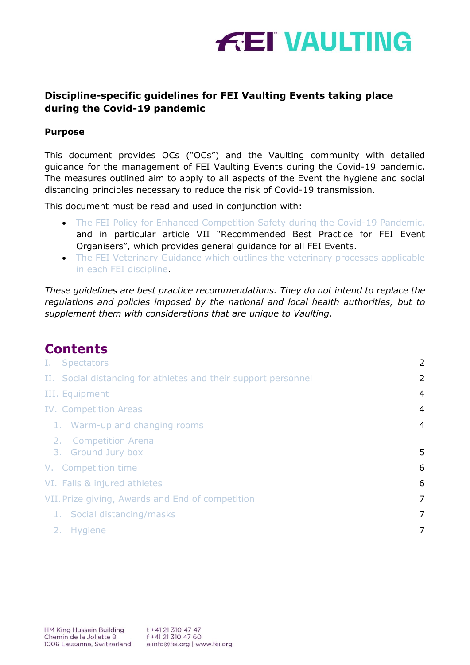

# **Discipline-specific guidelines for FEI Vaulting Events taking place during the Covid-19 pandemic**

### **Purpose**

This document provides OCs ("OCs") and the Vaulting community with detailed guidance for the management of FEI Vaulting Events during the Covid-19 pandemic. The measures outlined aim to apply to all aspects of the Event the hygiene and social distancing principles necessary to reduce the risk of Covid-19 transmission.

This document must be read and used in conjunction with:

- [The FEI Policy for Enhanced Competition Safety during the Covid-19 Pandemic,](about:blank) and in particular article VII "Recommended Best Practice for FEI Event Organisers", which provides general guidance for all FEI Events.
- The FEI Veterinary Guidance which outlines the veterinary processes applicable [in each FEI discipline.](about:blank)

*These guidelines are best practice recommendations. They do not intend to replace the regulations and policies imposed by the national and local health authorities, but to supplement them with considerations that are unique to Vaulting.*

# **Contents**

| I. Spectators                                                  | 2              |
|----------------------------------------------------------------|----------------|
| II. Social distancing for athletes and their support personnel | 2              |
| III. Equipment                                                 | $\overline{4}$ |
| <b>IV. Competition Areas</b>                                   | $\overline{4}$ |
| 1. Warm-up and changing rooms                                  | $\overline{4}$ |
| 2. Competition Arena<br>3. Ground Jury box                     | 5              |
| V. Competition time                                            | 6              |
| VI. Falls & injured athletes                                   | 6              |
| VII. Prize giving, Awards and End of competition               | 7              |
| 1. Social distancing/masks                                     | 7              |
| 2. Hygiene                                                     | 7              |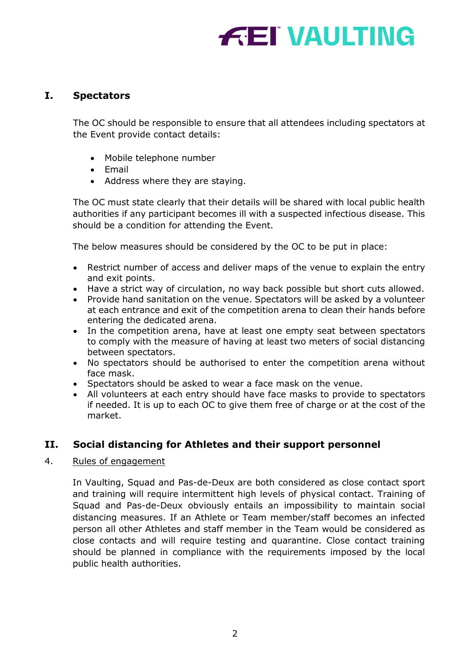# **FEI VAULTING**

# <span id="page-1-0"></span>**I. Spectators**

The OC should be responsible to ensure that all attendees including spectators at the Event provide contact details:

- Mobile telephone number
- Email
- Address where they are staying.

The OC must state clearly that their details will be shared with local public health authorities if any participant becomes ill with a suspected infectious disease. This should be a condition for attending the Event.

The below measures should be considered by the OC to be put in place:

- Restrict number of access and deliver maps of the venue to explain the entry and exit points.
- Have a strict way of circulation, no way back possible but short cuts allowed.
- Provide hand sanitation on the venue. Spectators will be asked by a volunteer at each entrance and exit of the competition arena to clean their hands before entering the dedicated arena.
- In the competition arena, have at least one empty seat between spectators to comply with the measure of having at least two meters of social distancing between spectators.
- No spectators should be authorised to enter the competition arena without face mask.
- Spectators should be asked to wear a face mask on the venue.
- All volunteers at each entry should have face masks to provide to spectators if needed. It is up to each OC to give them free of charge or at the cost of the market.

# <span id="page-1-1"></span>**II. Social distancing for Athletes and their support personnel**

#### 4. Rules of engagement

In Vaulting, Squad and Pas-de-Deux are both considered as close contact sport and training will require intermittent high levels of physical contact. Training of Squad and Pas-de-Deux obviously entails an impossibility to maintain social distancing measures. If an Athlete or Team member/staff becomes an infected person all other Athletes and staff member in the Team would be considered as close contacts and will require testing and quarantine. Close contact training should be planned in compliance with the requirements imposed by the local public health authorities.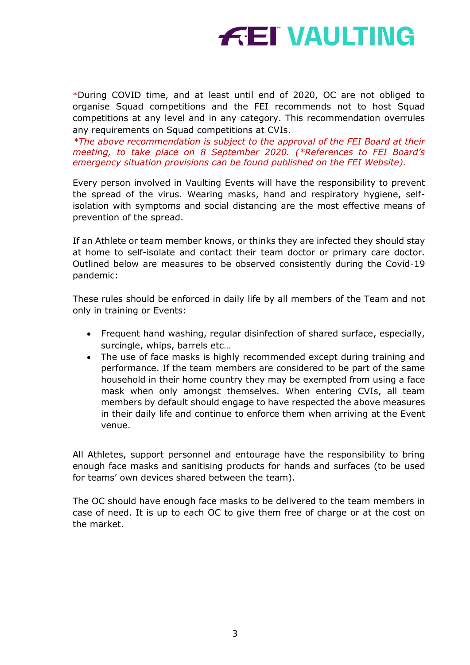

\*During COVID time, and at least until end of 2020, OC are not obliged to organise Squad competitions and the FEI recommends not to host Squad competitions at any level and in any category. This recommendation overrules any requirements on Squad competitions at CVIs.

*\*The above recommendation is subject to the approval of the FEI Board at their meeting, to take place on 8 September 2020. (\*References to FEI Board's emergency situation provisions can be found published on the FEI Website).*

Every person involved in Vaulting Events will have the responsibility to prevent the spread of the virus. Wearing masks, hand and respiratory hygiene, selfisolation with symptoms and social distancing are the most effective means of prevention of the spread.

If an Athlete or team member knows, or thinks they are infected they should stay at home to self-isolate and contact their team doctor or primary care doctor. Outlined below are measures to be observed consistently during the Covid-19 pandemic:

These rules should be enforced in daily life by all members of the Team and not only in training or Events:

- Frequent hand washing, regular disinfection of shared surface, especially, surcingle, whips, barrels etc…
- The use of face masks is highly recommended except during training and performance. If the team members are considered to be part of the same household in their home country they may be exempted from using a face mask when only amongst themselves. When entering CVIs, all team members by default should engage to have respected the above measures in their daily life and continue to enforce them when arriving at the Event venue.

All Athletes, support personnel and entourage have the responsibility to bring enough face masks and sanitising products for hands and surfaces (to be used for teams' own devices shared between the team).

The OC should have enough face masks to be delivered to the team members in case of need. It is up to each OC to give them free of charge or at the cost on the market.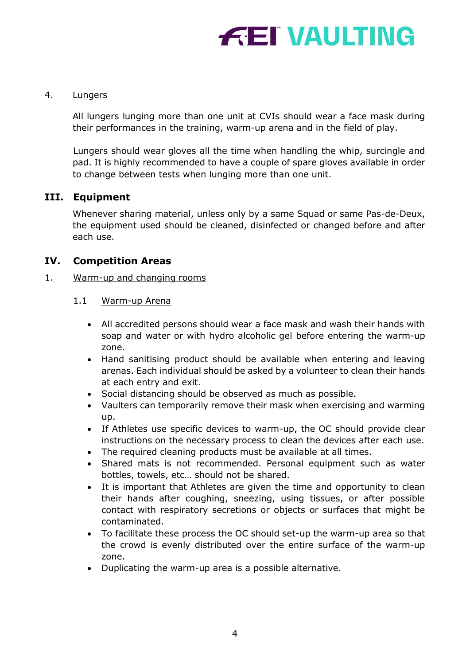

#### 4. Lungers

All lungers lunging more than one unit at CVIs should wear a face mask during their performances in the training, warm-up arena and in the field of play.

Lungers should wear gloves all the time when handling the whip, surcingle and pad. It is highly recommended to have a couple of spare gloves available in order to change between tests when lunging more than one unit.

## <span id="page-3-0"></span>**III. Equipment**

Whenever sharing material, unless only by a same Squad or same Pas-de-Deux, the equipment used should be cleaned, disinfected or changed before and after each use.

## <span id="page-3-1"></span>**IV. Competition Areas**

#### <span id="page-3-2"></span>1. Warm-up and changing rooms

- 1.1 Warm-up Arena
	- All accredited persons should wear a face mask and wash their hands with soap and water or with hydro alcoholic gel before entering the warm-up zone.
	- Hand sanitising product should be available when entering and leaving arenas. Each individual should be asked by a volunteer to clean their hands at each entry and exit.
	- Social distancing should be observed as much as possible.
	- Vaulters can temporarily remove their mask when exercising and warming up.
	- If Athletes use specific devices to warm-up, the OC should provide clear instructions on the necessary process to clean the devices after each use.
	- The required cleaning products must be available at all times.
	- Shared mats is not recommended. Personal equipment such as water bottles, towels, etc… should not be shared.
	- It is important that Athletes are given the time and opportunity to clean their hands after coughing, sneezing, using tissues, or after possible contact with respiratory secretions or objects or surfaces that might be contaminated.
	- To facilitate these process the OC should set-up the warm-up area so that the crowd is evenly distributed over the entire surface of the warm-up zone.
	- Duplicating the warm-up area is a possible alternative.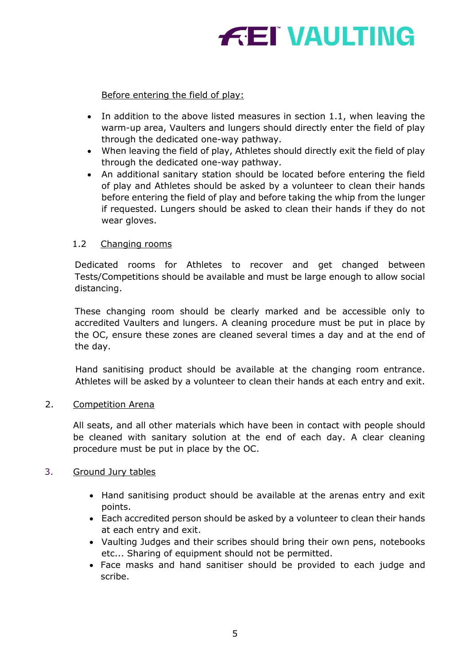# **FEI VAULTING**

# Before entering the field of play:

- In addition to the above listed measures in section 1.1, when leaving the warm-up area, Vaulters and lungers should directly enter the field of play through the dedicated one-way pathway.
- When leaving the field of play, Athletes should directly exit the field of play through the dedicated one-way pathway.
- An additional sanitary station should be located before entering the field of play and Athletes should be asked by a volunteer to clean their hands before entering the field of play and before taking the whip from the lunger if requested. Lungers should be asked to clean their hands if they do not wear gloves.

#### 1.2 Changing rooms

Dedicated rooms for Athletes to recover and get changed between Tests/Competitions should be available and must be large enough to allow social distancing.

These changing room should be clearly marked and be accessible only to accredited Vaulters and lungers. A cleaning procedure must be put in place by the OC, ensure these zones are cleaned several times a day and at the end of the day.

Hand sanitising product should be available at the changing room entrance. Athletes will be asked by a volunteer to clean their hands at each entry and exit.

#### 2. Competition Arena

All seats, and all other materials which have been in contact with people should be cleaned with sanitary solution at the end of each day. A clear cleaning procedure must be put in place by the OC.

#### <span id="page-4-0"></span>3. Ground Jury tables

- Hand sanitising product should be available at the arenas entry and exit points.
- Each accredited person should be asked by a volunteer to clean their hands at each entry and exit.
- Vaulting Judges and their scribes should bring their own pens, notebooks etc... Sharing of equipment should not be permitted.
- Face masks and hand sanitiser should be provided to each judge and scribe.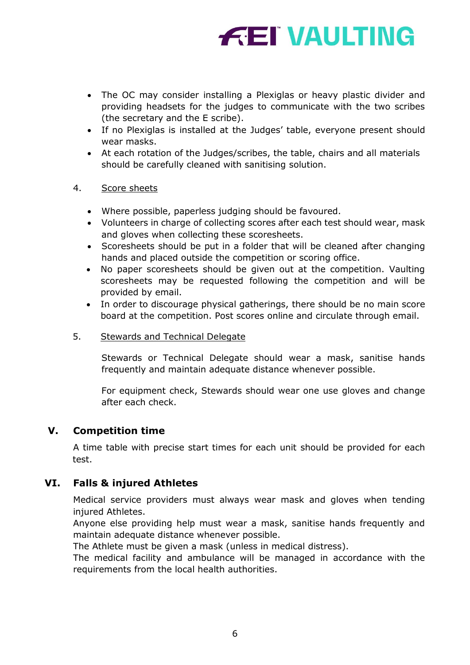# **FEI VAULTING**

- The OC may consider installing a Plexiglas or heavy plastic divider and providing headsets for the judges to communicate with the two scribes (the secretary and the E scribe).
- If no Plexiglas is installed at the Judges' table, everyone present should wear masks.
- At each rotation of the Judges/scribes, the table, chairs and all materials should be carefully cleaned with sanitising solution.

## 4. Score sheets

- Where possible, paperless judging should be favoured.
- Volunteers in charge of collecting scores after each test should wear, mask and gloves when collecting these scoresheets.
- Scoresheets should be put in a folder that will be cleaned after changing hands and placed outside the competition or scoring office.
- No paper scoresheets should be given out at the competition. Vaulting scoresheets may be requested following the competition and will be provided by email.
- In order to discourage physical gatherings, there should be no main score board at the competition. Post scores online and circulate through email.

#### 5. Stewards and Technical Delegate

Stewards or Technical Delegate should wear a mask, sanitise hands frequently and maintain adequate distance whenever possible.

For equipment check, Stewards should wear one use gloves and change after each check.

# <span id="page-5-0"></span>**V. Competition time**

A time table with precise start times for each unit should be provided for each test.

# <span id="page-5-1"></span>**VI. Falls & injured Athletes**

Medical service providers must always wear mask and gloves when tending injured Athletes.

Anyone else providing help must wear a mask, sanitise hands frequently and maintain adequate distance whenever possible.

The Athlete must be given a mask (unless in medical distress).

The medical facility and ambulance will be managed in accordance with the requirements from the local health authorities.